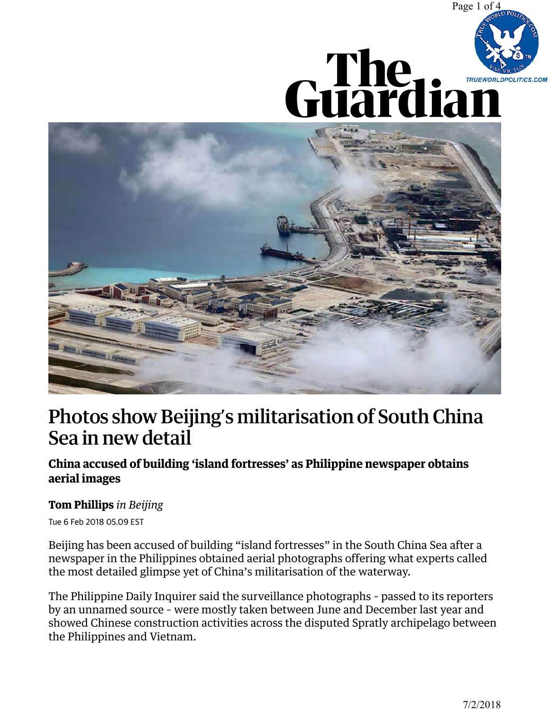





## [Photos show Beijing's militarisation of South China](https://www.theguardian.com/world/2018/feb/06/photos-beijings-militarisation-south-china-sea-philippines)  Sea in new detail

## **China accused of building 'island fortresses' as Philippine newspaper obtains aerial images**

## **Tom Phillips** *in Beijing*

Tue 6 Feb 2018 05.09 EST

Beijing has been accused of building "island fortresses" in the South China Sea after a newspaper in the Philippines obtained aerial photographs offering what experts called the most detailed glimpse yet of China's militarisation of the waterway.

The Philippine Daily Inquirer said the surveillance photographs – passed to its reporters by an unnamed source – were mostly taken between June and December last year and showed Chinese construction activities across the disputed Spratly archipelago between the Philippines and Vietnam.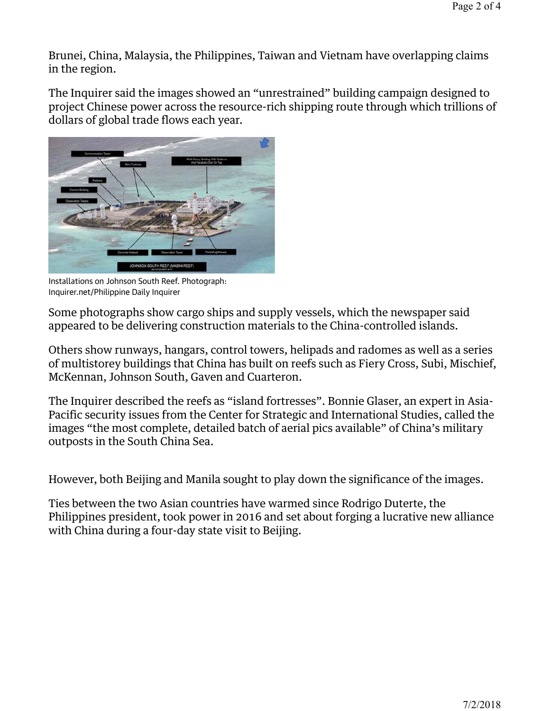Brunei, China, Malaysia, the Philippines, Taiwan and Vietnam have overlapping claims in the region.

The Inquirer said the images showed an "unrestrained" building campaign designed to project Chinese power across the resource-rich shipping route through which trillions of dollars of global trade flows each year.



Installations on Johnson South Reef. Photograph: Inquirer.net/Philippine Daily Inquirer

Some photographs show cargo ships and supply vessels, which the newspaper said appeared to be delivering construction materials to the China-controlled islands.

Others show runways, hangars, control towers, helipads and radomes as well as a series of multistorey buildings that China has built on reefs such as Fiery Cross, Subi, Mischief, McKennan, Johnson South, Gaven and Cuarteron.

The Inquirer described the reefs as "island fortresses". Bonnie Glaser, an expert in Asia-Pacific security issues from the Center for Strategic and International Studies, called the images "the most complete, detailed batch of aerial pics available" of China's military outposts in the South China Sea.

However, both Beijing and Manila sought to play down the significance of the images.

Ties between the two Asian countries have warmed since Rodrigo Duterte, the Philippines president, took power in 2016 and set about forging a lucrative new alliance with China during a four-day state visit to Beijing.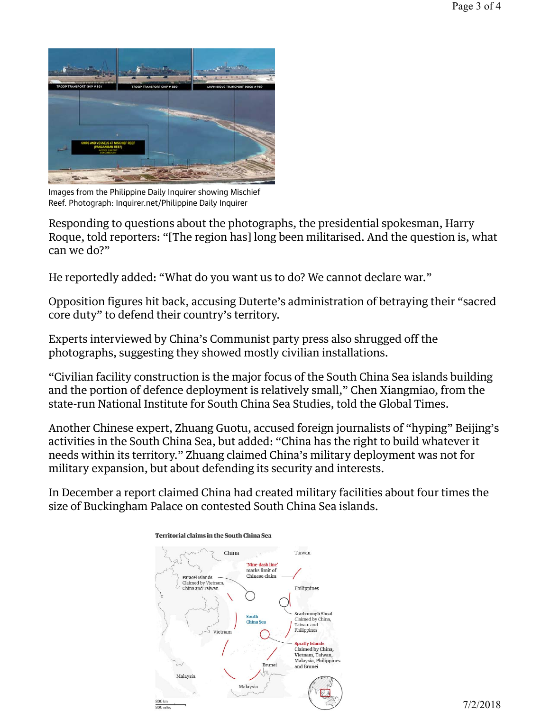

Images from the Philippine Daily Inquirer showing Mischief Reef. Photograph: Inquirer.net/Philippine Daily Inquirer

Responding to questions about the photographs, the presidential spokesman, Harry Roque, told reporters: "[The region has] long been militarised. And the question is, what can we do?"

He reportedly added: "What do you want us to do? We cannot declare war."

Opposition figures hit back, accusing Duterte's administration of betraying their "sacred core duty" to defend their country's territory.

Experts interviewed by China's Communist party press also shrugged off the photographs, suggesting they showed mostly civilian installations.

"Civilian facility construction is the major focus of the South China Sea islands building and the portion of defence deployment is relatively small," Chen Xiangmiao, from the state-run National Institute for South China Sea Studies, told the Global Times.

Another Chinese expert, Zhuang Guotu, accused foreign journalists of "hyping" Beijing's activities in the South China Sea, but added: "China has the right to build whatever it needs within its territory." Zhuang claimed China's military deployment was not for military expansion, but about defending its security and interests.

In December a report claimed China had created military facilities about four times the size of Buckingham Palace on contested South China Sea islands.